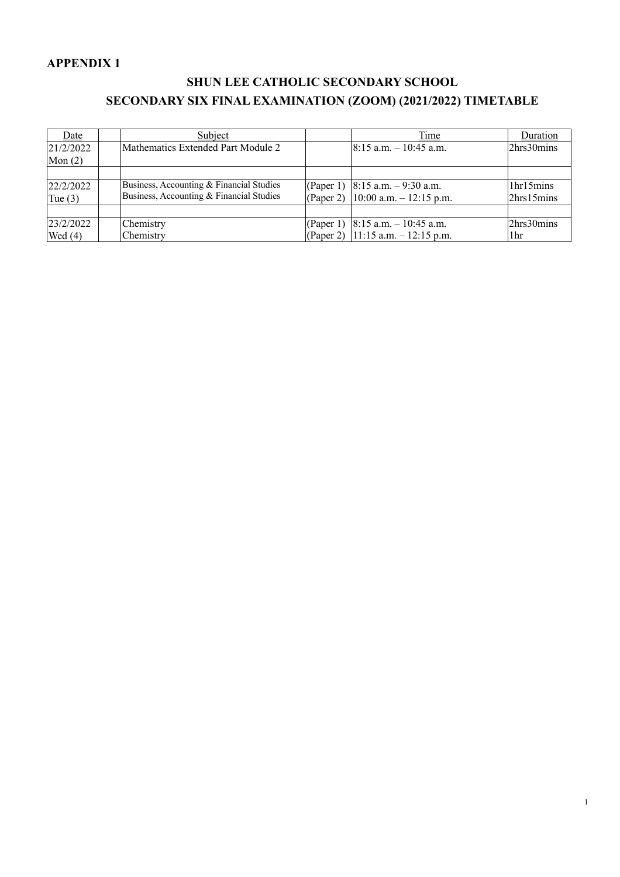#### **APPENDIX 1**

#### **SHUN LEE CATHOLIC SECONDARY SCHOOL SECONDARY SIX FINAL EXAMINATION (ZOOM) (2021/2022) TIMETABLE**

| Date      | Subject                                  | Time                                 | Duration        |
|-----------|------------------------------------------|--------------------------------------|-----------------|
| 21/2/2022 | Mathematics Extended Part Module 2       | $8:15$ a.m. $-10:45$ a.m.            | 2hrs30mins      |
| Mon $(2)$ |                                          |                                      |                 |
|           |                                          |                                      |                 |
| 22/2/2022 | Business, Accounting & Financial Studies | (Paper 1) $ 8:15$ a.m. $-9:30$ a.m.  | 1hr15mins       |
| Tue $(3)$ | Business, Accounting & Financial Studies | (Paper 2)   10:00 a.m. $-12:15$ p.m. | 2hrs15mins      |
|           |                                          |                                      |                 |
| 23/2/2022 | Chemistry                                | (Paper 1) $8:15$ a.m. $-10:45$ a.m.  | 2hrs30mins      |
| Wed $(4)$ | Chemistry                                | (Paper 2)   11:15 a.m. $-12:15$ p.m. | 1 <sub>hr</sub> |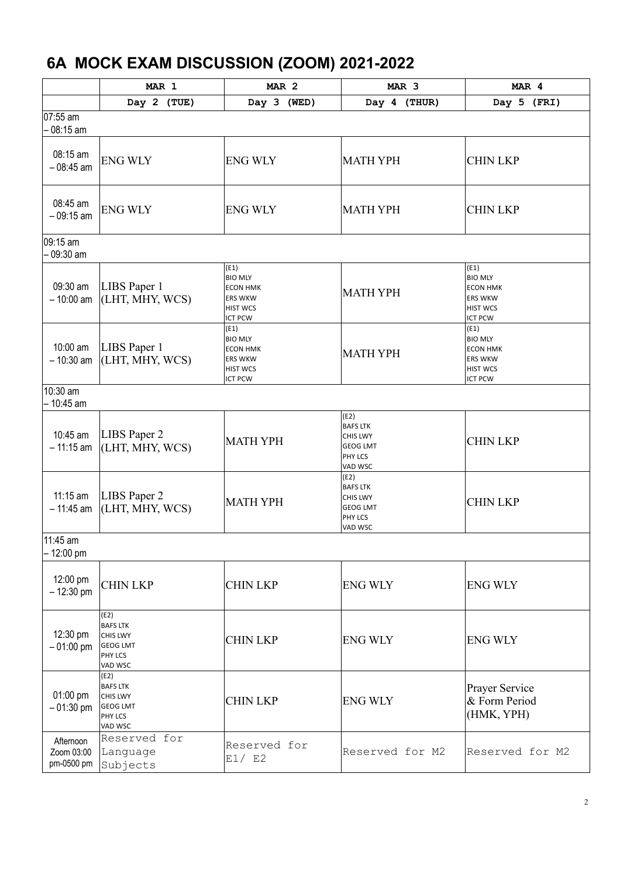#### **6A MOCK EXAM DISCUSSION (ZOOM) 2021-2022**

|                                       | MAR 1                                                                                      | MAR <sub>2</sub>                                                                                 | MAR <sub>3</sub>                                                             | MAR 4                                                                                            |
|---------------------------------------|--------------------------------------------------------------------------------------------|--------------------------------------------------------------------------------------------------|------------------------------------------------------------------------------|--------------------------------------------------------------------------------------------------|
|                                       | Day 2 (TUE)                                                                                | Day 3 (WED)                                                                                      | Day 4 (THUR)                                                                 | Day 5 (FRI)                                                                                      |
| 07:55 am<br>08:15 am                  |                                                                                            |                                                                                                  |                                                                              |                                                                                                  |
| 08:15 am<br>$-08:45$ am               | <b>ENG WLY</b>                                                                             | <b>ENG WLY</b>                                                                                   | <b>MATH YPH</b>                                                              | <b>CHIN LKP</b>                                                                                  |
| 08:45 am<br>$-09:15$ am               | <b>ENG WLY</b>                                                                             | <b>ENG WLY</b>                                                                                   | <b>MATH YPH</b>                                                              | <b>CHIN LKP</b>                                                                                  |
| 09:15 am<br>09:30 am                  |                                                                                            |                                                                                                  |                                                                              |                                                                                                  |
| 09:30 am<br>$-10:00$ am               | LIBS Paper 1<br>(LHT, MHY, WCS)                                                            | (E1)<br><b>BIO MLY</b><br><b>ECON HMK</b><br><b>ERS WKW</b><br><b>HIST WCS</b><br><b>ICT PCW</b> | <b>MATH YPH</b>                                                              | (E1)<br><b>BIO MLY</b><br><b>ECON HMK</b><br><b>ERS WKW</b><br><b>HIST WCS</b><br><b>ICT PCW</b> |
| 10:00 am<br>$-10:30$ am               | LIBS Paper 1<br>(LHT, MHY, WCS)                                                            | (E1)<br><b>BIO MLY</b><br><b>ECON HMK</b><br><b>ERS WKW</b><br><b>HIST WCS</b><br><b>ICT PCW</b> | <b>MATH YPH</b>                                                              | (E1)<br><b>BIO MLY</b><br><b>ECON HMK</b><br><b>ERS WKW</b><br><b>HIST WCS</b><br><b>ICT PCW</b> |
| 10:30 am<br>- 10:45 am                |                                                                                            |                                                                                                  |                                                                              |                                                                                                  |
| 10:45 am<br>$-11:15$ am               | LIBS Paper 2<br>(LHT, MHY, WCS)                                                            | <b>MATH YPH</b>                                                                                  | (E2)<br><b>BAFS LTK</b><br>CHIS LWY<br><b>GEOG LMT</b><br>PHY LCS<br>VAD WSC | <b>CHIN LKP</b>                                                                                  |
| $11:15$ am<br>$-11:45$ am             | LIBS Paper 2<br>(LHT, MHY, WCS)                                                            | <b>MATH YPH</b>                                                                                  | (E2)<br><b>BAFS LTK</b><br>CHIS LWY<br><b>GEOG LMT</b><br>PHY LCS<br>VAD WSC | <b>CHIN LKP</b>                                                                                  |
| 11:45 am<br>12:00 pm                  |                                                                                            |                                                                                                  |                                                                              |                                                                                                  |
| 12:00 pm<br>$-12:30$ pm               | <b>CHIN LKP</b>                                                                            | <b>CHIN LKP</b>                                                                                  | <b>ENG WLY</b>                                                               | <b>ENG WLY</b>                                                                                   |
| 12:30 pm<br>$-01:00$ pm               | (E2)<br><b>BAFS LTK</b><br><b>CHIS LWY</b><br><b>GEOG LMT</b><br><b>PHY LCS</b><br>VAD WSC | <b>CHIN LKP</b>                                                                                  | <b>ENG WLY</b>                                                               | <b>ENG WLY</b>                                                                                   |
| 01:00 pm<br>$-01:30$ pm               | (E2)<br><b>BAFS LTK</b><br><b>CHIS LWY</b><br><b>GEOG LMT</b><br>PHY LCS<br>VAD WSC        | <b>CHIN LKP</b>                                                                                  | <b>ENG WLY</b>                                                               | <b>Prayer Service</b><br>& Form Period<br>(HMK, YPH)                                             |
| Afternoon<br>Zoom 03:00<br>pm-0500 pm | Reserved for<br>Language<br>Subjects                                                       | Reserved for<br>E1/ E2                                                                           | Reserved for M2                                                              | Reserved for M2                                                                                  |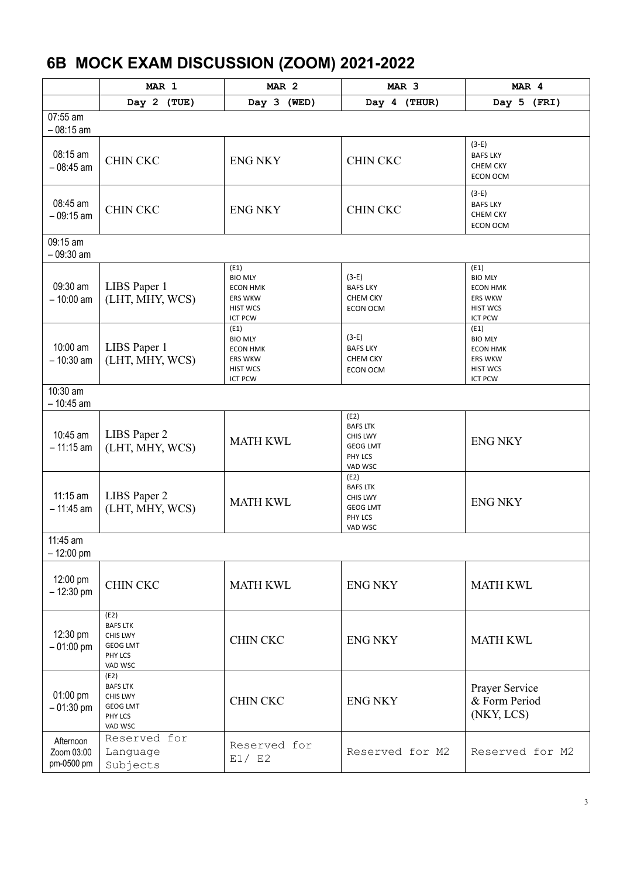# **6B MOCK EXAM DISCUSSION (ZOOM) 2021-2022**

|                                       | MAR 1                                                                        | MAR <sub>2</sub>                                                                                 | MAR <sub>3</sub>                                                                    | MAR 4                                                                                            |
|---------------------------------------|------------------------------------------------------------------------------|--------------------------------------------------------------------------------------------------|-------------------------------------------------------------------------------------|--------------------------------------------------------------------------------------------------|
|                                       | Day 2 (TUE)                                                                  | Day 3 (WED)                                                                                      | Day 4 (THUR)                                                                        | Day 5 (FRI)                                                                                      |
| 07:55 am<br>$-08:15$ am               |                                                                              |                                                                                                  |                                                                                     |                                                                                                  |
| 08:15 am<br>$-08:45$ am               | <b>CHIN CKC</b>                                                              | <b>ENG NKY</b>                                                                                   | <b>CHIN CKC</b>                                                                     | $(3-E)$<br><b>BAFS LKY</b><br>CHEM CKY<br>ECON OCM                                               |
| 08:45 am<br>$-09:15$ am               | <b>CHIN CKC</b>                                                              | <b>ENG NKY</b>                                                                                   | <b>CHIN CKC</b>                                                                     | $(3-E)$<br><b>BAFS LKY</b><br><b>CHEM CKY</b><br><b>ECON OCM</b>                                 |
| 09:15 am<br>$-09:30$ am               |                                                                              |                                                                                                  |                                                                                     |                                                                                                  |
| 09:30 am<br>$-10:00$ am               | LIBS Paper 1<br>(LHT, MHY, WCS)                                              | (E1)<br><b>BIO MLY</b><br><b>ECON HMK</b><br><b>ERS WKW</b><br><b>HIST WCS</b><br><b>ICT PCW</b> | $(3-E)$<br><b>BAFS LKY</b><br><b>CHEM CKY</b><br><b>ECON OCM</b>                    | (E1)<br><b>BIO MLY</b><br><b>ECON HMK</b><br><b>ERS WKW</b><br><b>HIST WCS</b><br><b>ICT PCW</b> |
| 10:00 am<br>$-10:30$ am               | LIBS Paper 1<br>(LHT, MHY, WCS)                                              | (E1)<br><b>BIO MLY</b><br><b>ECON HMK</b><br><b>ERS WKW</b><br><b>HIST WCS</b><br><b>ICT PCW</b> | $(3-E)$<br><b>BAFS LKY</b><br><b>CHEM CKY</b><br><b>ECON OCM</b>                    | (E1)<br><b>BIO MLY</b><br><b>ECON HMK</b><br><b>ERS WKW</b><br><b>HIST WCS</b><br><b>ICT PCW</b> |
| 10:30 am<br>$-10:45$ am               |                                                                              |                                                                                                  |                                                                                     |                                                                                                  |
| 10:45 am<br>$-11:15$ am               | LIBS Paper 2<br>(LHT, MHY, WCS)                                              | <b>MATH KWL</b>                                                                                  | (E2)<br><b>BAFS LTK</b><br><b>CHIS LWY</b><br><b>GEOG LMT</b><br>PHY LCS<br>VAD WSC | <b>ENG NKY</b>                                                                                   |
| 11:15 am<br>$-11:45$ am               | LIBS Paper 2<br>(LHT, MHY, WCS)                                              | <b>MATH KWL</b>                                                                                  | (E2)<br><b>BAFS LTK</b><br>CHIS LWY<br><b>GEOG LMT</b><br>PHY LCS<br>VAD WSC        | <b>ENG NKY</b>                                                                                   |
| 11:45 am<br>$-12:00$ pm               |                                                                              |                                                                                                  |                                                                                     |                                                                                                  |
| 12:00 pm<br>$-12:30$ pm               | <b>CHIN CKC</b>                                                              | <b>MATH KWL</b>                                                                                  | <b>ENG NKY</b>                                                                      | <b>MATH KWL</b>                                                                                  |
| 12:30 pm<br>$-01:00$ pm               | (E2)<br><b>BAFS LTK</b><br>CHIS LWY<br><b>GEOG LMT</b><br>PHY LCS<br>VAD WSC | <b>CHIN CKC</b>                                                                                  | <b>ENG NKY</b>                                                                      | <b>MATH KWL</b>                                                                                  |
| 01:00 pm<br>$-01:30$ pm               | (E2)<br><b>BAFS LTK</b><br>CHIS LWY<br><b>GEOG LMT</b><br>PHY LCS<br>VAD WSC | <b>CHIN CKC</b>                                                                                  | <b>ENG NKY</b>                                                                      | Prayer Service<br>& Form Period<br>(NKY, LCS)                                                    |
| Afternoon<br>Zoom 03:00<br>pm-0500 pm | Reserved for<br>Language<br>Subjects                                         | Reserved for<br>E1/ E2                                                                           | Reserved for M2                                                                     | Reserved for M2                                                                                  |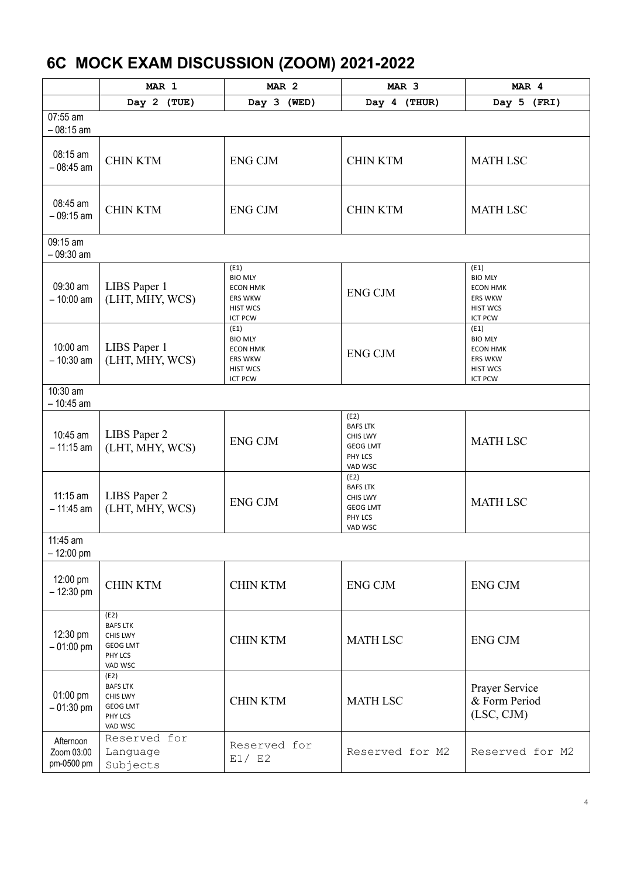# **6C MOCK EXAM DISCUSSION (ZOOM) 2021-2022**

|                                       | MAR 1                                                                        | MAR <sub>2</sub>                                                                                 | MAR <sub>3</sub>                                                                    | MAR 4                                                                                            |
|---------------------------------------|------------------------------------------------------------------------------|--------------------------------------------------------------------------------------------------|-------------------------------------------------------------------------------------|--------------------------------------------------------------------------------------------------|
|                                       | Day 2 (TUE)                                                                  | Day 3 (WED)                                                                                      | Day 4 (THUR)                                                                        | Day 5 (FRI)                                                                                      |
| 07:55 am<br>$-08:15$ am               |                                                                              |                                                                                                  |                                                                                     |                                                                                                  |
| 08:15 am<br>$-08:45$ am               | <b>CHIN KTM</b>                                                              | <b>ENG CJM</b>                                                                                   | <b>CHIN KTM</b>                                                                     | <b>MATH LSC</b>                                                                                  |
| 08:45 am<br>$-09:15$ am               | <b>CHIN KTM</b>                                                              | <b>ENG CJM</b>                                                                                   | <b>CHIN KTM</b>                                                                     | <b>MATH LSC</b>                                                                                  |
| 09:15 am<br>$-09:30$ am               |                                                                              |                                                                                                  |                                                                                     |                                                                                                  |
| 09:30 am<br>$-10:00$ am               | LIBS Paper 1<br>(LHT, MHY, WCS)                                              | (E1)<br><b>BIO MLY</b><br><b>ECON HMK</b><br><b>ERS WKW</b><br><b>HIST WCS</b><br><b>ICT PCW</b> | <b>ENG CJM</b>                                                                      | (E1)<br><b>BIO MLY</b><br><b>ECON HMK</b><br><b>ERS WKW</b><br><b>HIST WCS</b><br><b>ICT PCW</b> |
| 10:00 am<br>$-10:30$ am               | LIBS Paper 1<br>(LHT, MHY, WCS)                                              | (E1)<br><b>BIO MLY</b><br><b>ECON HMK</b><br><b>ERS WKW</b><br><b>HIST WCS</b><br><b>ICT PCW</b> | <b>ENG CJM</b>                                                                      | (E1)<br><b>BIO MLY</b><br><b>ECON HMK</b><br><b>ERS WKW</b><br><b>HIST WCS</b><br><b>ICT PCW</b> |
| 10:30 am<br>- 10:45 am                |                                                                              |                                                                                                  |                                                                                     |                                                                                                  |
| 10:45 am<br>$-11:15$ am               | LIBS Paper 2<br>(LHT, MHY, WCS)                                              | <b>ENG CJM</b>                                                                                   | (E2)<br><b>BAFS LTK</b><br><b>CHIS LWY</b><br><b>GEOG LMT</b><br>PHY LCS<br>VAD WSC | <b>MATH LSC</b>                                                                                  |
| $11:15$ am<br>$-11:45$ am             | LIBS Paper 2<br>(LHT, MHY, WCS)                                              | <b>ENG CJM</b>                                                                                   | (E2)<br><b>BAFS LTK</b><br><b>CHIS LWY</b><br><b>GEOG LMT</b><br>PHY LCS<br>VAD WSC | <b>MATH LSC</b>                                                                                  |
| 11:45 am<br>$-12:00$ pm               |                                                                              |                                                                                                  |                                                                                     |                                                                                                  |
| 12:00 pm<br>$-12:30$ pm               | <b>CHIN KTM</b>                                                              | <b>CHIN KTM</b>                                                                                  | <b>ENG CJM</b>                                                                      | <b>ENG CJM</b>                                                                                   |
| 12:30 pm<br>$-01:00$ pm               | (E2)<br><b>BAFS LTK</b><br>CHIS LWY<br><b>GEOG LMT</b><br>PHY LCS<br>VAD WSC | <b>CHIN KTM</b>                                                                                  | <b>MATH LSC</b>                                                                     | <b>ENG CJM</b>                                                                                   |
| 01:00 pm<br>$-01:30$ pm               | (E2)<br><b>BAFS LTK</b><br>CHIS LWY<br><b>GEOG LMT</b><br>PHY LCS<br>VAD WSC | <b>CHIN KTM</b>                                                                                  | <b>MATH LSC</b>                                                                     | Prayer Service<br>& Form Period<br>(LSC, CJM)                                                    |
| Afternoon<br>Zoom 03:00<br>pm-0500 pm | Reserved for<br>Language<br>Subjects                                         | Reserved for<br>E1/ E2                                                                           | Reserved for M2                                                                     | Reserved for M2                                                                                  |